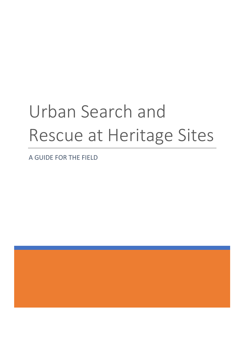# Urban Search and Rescue at Heritage Sites

A GUIDE FOR THE FIELD

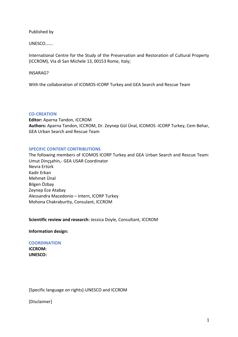Published by

UNESCO…….

International Centre for the Study of the Preservation and Restoration of Cultural Property (ICCROM), Via di San Michele 13, 00153 Rome, Italy;

## INSARAG?

With the collaboration of ICOMOS-ICORP Turkey and GEA Search and Rescue Team

## **CO-CREATION**

**Editor:** Aparna Tandon, ICCROM **Authors:** Aparna Tandon, ICCROM, Dr. Zeynep Gül Ünal, ICOMOS -ICORP Turkey, Cem Behar, GEA Urban Search and Rescue Team

## **SPECIFIC CONTENT CONTRIBUTIONS**

The following members of ICOMOS ICORP Turkey and GEA Urban Search and Rescue Team: Umut Dinçşahin,- GEA USAR Coordinator Nevra Ertürk Kadir Erkan Mehmet Ünal Bilgen Özbay Zeynep Ece Atabay Alessandra Macedonio – Intern, ICORP Turkey Mohona Chakraburtty, Consulant, ICCROM

**Scientific review and research:** Jessica Doyle, Consultant, ICCROM

**Information design:**

# **COORDINATION ICCROM:**

**UNESCO:** 

[Specific language on rights]-UNESCO and ICCROM

[Disclaimer]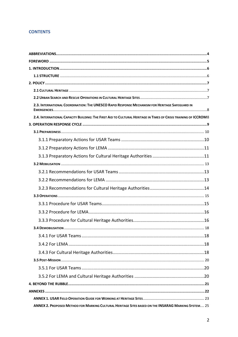# **CONTENTS**

| 2.3. INTERNATIONAL COORDINATION: THE UNESCO RAPID RESPONSE MECHANISM FOR HERITAGE SAFEGUARD IN                  |
|-----------------------------------------------------------------------------------------------------------------|
| 2.4. INTERNATIONAL CAPACITY BUILDING: THE FIRST AID TO CULTURAL HERITAGE IN TIMES OF CRISIS TRAINING OF ICCROM8 |
|                                                                                                                 |
|                                                                                                                 |
|                                                                                                                 |
|                                                                                                                 |
|                                                                                                                 |
|                                                                                                                 |
|                                                                                                                 |
|                                                                                                                 |
|                                                                                                                 |
|                                                                                                                 |
|                                                                                                                 |
|                                                                                                                 |
|                                                                                                                 |
|                                                                                                                 |
|                                                                                                                 |
|                                                                                                                 |
|                                                                                                                 |
|                                                                                                                 |
|                                                                                                                 |
|                                                                                                                 |
|                                                                                                                 |
|                                                                                                                 |
|                                                                                                                 |
| ANNEX 2. PROPOSED METHOD FOR MARKING CULTURAL HERITAGE SITES BASED ON THE INSARAG MARKING SYSTEM 25             |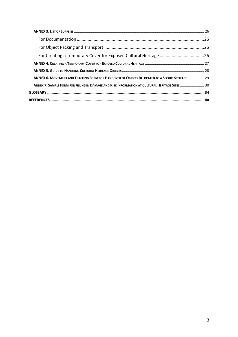| ANNEX 6. MOVEMENT AND TRACKING FORM FOR HANDOVER OF OBJECTS RELOCATED TO A SECURE STORAGE 29   |  |
|------------------------------------------------------------------------------------------------|--|
| ANNEX 7. SAMPLE FORM FOR FILLING IN DAMAGE AND RISK INFORMATION AT CULTURAL HERITAGE SITES  30 |  |
|                                                                                                |  |
|                                                                                                |  |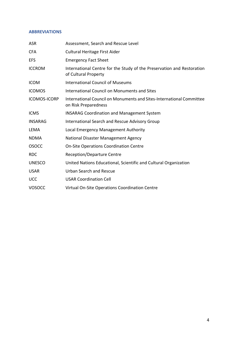## <span id="page-4-0"></span>**ABBREVIATIONS**

| <b>ASR</b>          | Assessment, Search and Rescue Level                                                            |
|---------------------|------------------------------------------------------------------------------------------------|
| <b>CFA</b>          | Cultural Heritage First Aider                                                                  |
| EFS                 | <b>Emergency Fact Sheet</b>                                                                    |
| <b>ICCROM</b>       | International Centre for the Study of the Preservation and Restoration<br>of Cultural Property |
| <b>ICOM</b>         | <b>International Council of Museums</b>                                                        |
| <b>ICOMOS</b>       | International Council on Monuments and Sites                                                   |
| <b>ICOMOS-ICORP</b> | International Council on Monuments and Sites-International Committee<br>on Risk Preparedness   |
| <b>ICMS</b>         | <b>INSARAG Coordination and Management System</b>                                              |
| <b>INSARAG</b>      | <b>International Search and Rescue Advisory Group</b>                                          |
| LEMA                | Local Emergency Management Authority                                                           |
| <b>NDMA</b>         | National Disaster Management Agency                                                            |
| <b>OSOCC</b>        | <b>On-Site Operations Coordination Centre</b>                                                  |
| <b>RDC</b>          | <b>Reception/Departure Centre</b>                                                              |
| <b>UNESCO</b>       | United Nations Educational, Scientific and Cultural Organization                               |
| <b>USAR</b>         | <b>Urban Search and Rescue</b>                                                                 |
| <b>UCC</b>          | <b>USAR Coordination Cell</b>                                                                  |
| <b>VOSOCC</b>       | Virtual On-Site Operations Coordination Centre                                                 |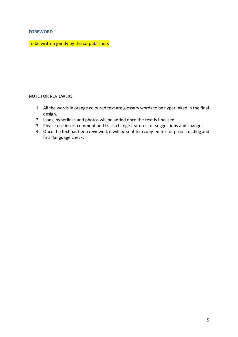# <span id="page-5-0"></span>**FOREWORD**

To be written jointly by the co-publishers

# NOTE FOR REVIEWERS

- 1. All the words in orange coloured text are glossary words to be hyperlinked in the final design.
- 2. Icons, hyperlinks and photos will be added once the text is finalised.
- 3. Please use insert comment and track change features for suggestions and changes.
- 4. Once the text has been reviewed, it will be sent to a copy-editor for proof-reading and final language check.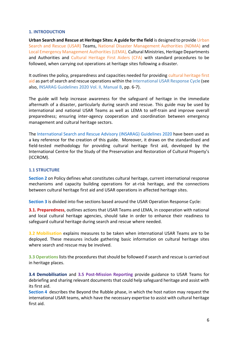## <span id="page-6-0"></span>**1. INTRODUCTION**

**Urban Search and Rescue at Heritage Sites: A guide for the field** is designed to provide [Urban](#page-38-0)  [Search and Rescue \(USAR\)](#page-38-0) Teams, [National Disaster Management Authorities \(NDMA\)](#page-36-0) and [Local Emergency Management Authorities \(LEMA\),](#page-36-1) Cultural Ministries, Heritage Departments and Authorities and [Cultural Heritage First Aiders \(CFA\)](#page-35-0) with standard procedures to be followed, when carrying out operations at heritage sites following a disaster.

It outlines the policy, preparedness and capacities needed for providing [cultural heritage first](#page-34-1)  [aid](#page-34-1) as part of search and rescue operations within th[e International USAR Response Cycle](#page-9-0) (see also, [INSARAG Guidelines 2020 Vol. II, Manual B,](https://www.insarag.org/guidelines) pp. 6-7).

The guide will help increase awareness for the safeguard of heritage in the immediate aftermath of a disaster, particularly during search and rescue. This guide may be used by international and national USAR Teams as well as LEMA to self-train and improve overall preparedness; ensuring inter-agency cooperation and coordination between emergency management and cultural heritage sectors.

The [International Search and Rescue Advisory \(INSARAG\) Guidelines](https://www.insarag.org/guidelines) 2020 have been used as a key reference for the creation of this guide. Moreover, it draws on the standardised and field-tested methodology for providing cultural heritage first aid, developed by the International Centre for the Study of the Preservation and Restoration of Cultural Property's (ICCROM).

## <span id="page-6-1"></span>**1.1 STRUCTURE**

**[Section](#page-7-0) 2** on Policy defines what constitutes cultural heritage, current international response mechanisms and capacity building operations for at-risk heritage, and the connections between cultural heritage first aid and USAR operations in affected heritage sites.

**[Section 3](#page-9-0)** is divided into five sections based around the USAR Operation Response Cycle:

**[3.1. Preparedness](#page-10-0)**, outlines actions that USAR Teams and LEMA, in cooperation with national and local cultural heritage agencies, should take in order to enhance their readiness to safeguard cultural heritage during search and rescue where needed.

**[3.2 Mobilisation](#page-13-0)** explains measures to be taken when international USAR Teams are to be deployed. These measures include gathering basic information on cultural heritage sites where search and rescue may be involved.

**3.3 [Operations](#page-15-0)**lists the procedures that should be followed if search and rescue is carried out in heritage places.

**[3.4 Demobilisation](#page-18-0)** and **[3.5 Post-Mission Reporting](#page-20-0)** provide guidance to USAR Teams for debriefing and sharing relevant documents that could help safeguard heritage and assist with its first aid.

**[Section 4](#page-21-0)** describes the Beyond the Rubble phase, in which the host nation may request the international USAR teams, which have the necessary expertise to assist with cultural heritage first aid.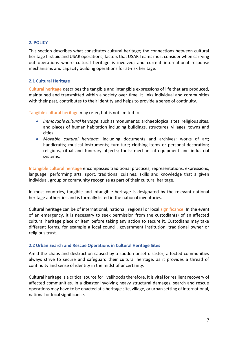## <span id="page-7-0"></span>**2. POLICY**

This section describes what constitutes cultural heritage; the connections between cultural heritage first aid and USAR operations; factors that USAR Teams must consider when carrying out operations where cultural heritage is involved; and current international response mechanisms and capacity building operations for at-risk heritage.

## <span id="page-7-1"></span>**2.1 Cultural Heritage**

[Cultural heritage](#page-34-2) describes the tangible and intangible expressions of life that are produced, maintained and transmitted within a society over time. It links individual and communities with their past, contributes to their identity and helps to provide a sense of continuity.

[Tangible cultural heritage](#page-37-0) may refer, but is not limited to:

- *Immovable cultural heritage*: such as monuments; archaeological sites; religious sites, and places of human habitation including buildings, structures, villages, towns and cities.
- *Movable cultural heritage*: including documents and archives; works of art; handicrafts; musical instruments; furniture; clothing items or personal decoration; religious, ritual and funerary objects; tools; mechanical equipment and industrial systems.

[Intangible cultural heritage](#page-35-1) encompasses traditional practices, representations, expressions, language, performing arts, sport, traditional cuisines, skills and knowledge that a given individual, group or community recognise as part of their cultural heritage.

In most countries, tangible and intangible heritage is designated by the relevant national heritage authorities and is formally listed in the national inventories.

Cultural heritage can be of international, national, regional or local [significance.](#page-37-1) In the event of an emergency, it is necessary to seek permission from the custodian(s) of an affected cultural heritage place or item before taking any action to secure it. Custodians may take different forms, for example a local council, government institution, traditional owner or religious trust.

## <span id="page-7-2"></span>**2.2 Urban Search and Rescue Operations in Cultural Heritage Sites**

Amid the chaos and destruction caused by a sudden onset disaster, affected communities always strive to secure and safeguard their cultural heritage, as it provides a thread of continuity and sense of identity in the midst of uncertainty.

Cultural heritage is a critical source for livelihoods therefore, it is vital for resilient recovery of affected communities. In a disaster involving heavy structural damages, search and rescue operations may have to be enacted at a heritage site, village, or urban setting of international, national or local significance.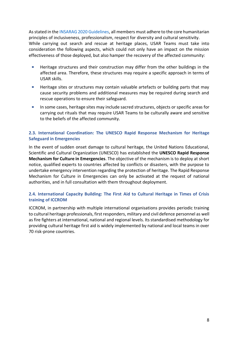As stated in th[e INSARAG 2020 Guidelines,](https://www.insarag.org/guidelines) all members must adhere to the core humanitarian principles of inclusiveness, professionalism, respect for diversity and cultural sensitivity. While carrying out search and rescue at heritage places, USAR Teams must take into consideration the following aspects, which could not only have an impact on the mission effectiveness of those deployed, but also hamper the recovery of the affected community:

- $\mathcal{L}_{\mathcal{A}}$ Heritage structures and their construction may differ from the other buildings in the affected area. Therefore, these structures may require a specific approach in terms of USAR skills.
- $\mathcal{L}_{\mathcal{A}}$ Heritage sites or structures may contain valuable artefacts or building parts that may cause security problems and additional measures may be required during search and rescue operations to ensure their safeguard.
- ä, In some cases, heritage sites may include sacred structures, objects or specific areas for carrying out rituals that may require USAR Teams to be culturally aware and sensitive to the beliefs of the affected community.

# <span id="page-8-0"></span>**2.3. International Coordination: The UNESCO Rapid Response Mechanism for Heritage Safeguard in Emergencies**

In the event of sudden onset damage to cultural heritage, the United Nations Educational, Scientific and Cultural Organization (UNESCO) has established the **UNESCO Rapid Response Mechanism for Culture in Emergencies**. The objective of the mechanism is to deploy at short notice, qualified experts to countries affected by conflicts or disasters, with the purpose to undertake emergency intervention regarding the protection of heritage. The Rapid Response Mechanism for Culture in Emergencies can only be activated at the request of national authorities, and in full consultation with them throughout deployment.

# <span id="page-8-1"></span>**2.4. International Capacity Building: The First Aid to Cultural Heritage in Times of Crisis training of ICCROM**

ICCROM, in partnership with multiple international organisations provides periodic training to cultural heritage professionals, first responders, military and civil defence personnel as well as fire fighters at international, national and regional levels. Its standardised methodology for providing cultural heritage first aid is widely implemented by national and local teams in over 70 risk-prone countries.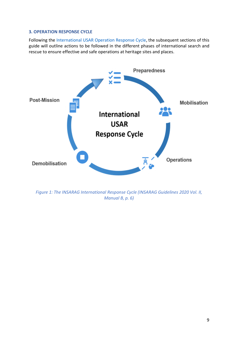## <span id="page-9-0"></span>**3. OPERATION RESPONSE CYCLE**

Following the [International USAR Operation Response Cycle,](https://www.insarag.org/guidelines) the subsequent sections of this guide will outline actions to be followed in the different phases of international search and rescue to ensure effective and safe operations at heritage sites and places.



*Figure 1: The INSARAG International Response Cycle [\(INSARAG Guidelines 2020 Vol. II,](https://www.insarag.org/guidelines)  [Manual B,](https://www.insarag.org/guidelines) p. 6)*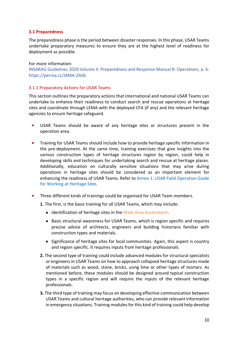## <span id="page-10-0"></span>**3.1 Preparedness**

The preparedness phase is the period between disaster responses. In this phase, USAR Teams undertake preparatory measures to ensure they are at the highest level of readiness for deployment as possible.

For more information: [INSARAG Guidelines 2020 Volume II: Preparedness and Response Manual B: Operations,](https://www.insarag.org/guidelines) p. 6: https://perma.cc/JM4A-ZAS6

## <span id="page-10-1"></span>3.1.1 Preparatory Actions for USAR Teams

This section outlines the preparatory actions that international and national USAR Teams can undertake to enhance their readiness to conduct search and rescue operations at heritage sites and coordinate through LEMA with the deployed CFA (if any) and the relevant heritage agencies to ensure heritage safeguard.

- USAR Teams should be aware of any heritage sites or structures present in the  $\blacksquare$ operation area.
- a, Training for USAR Teams should include how to provide heritage specific information in the pre-deployment. At the same time, training exercises that give insights into the various construction types of heritage structures region by region, could help in developing skills and techniques for undertaking search and rescue at heritage places. Additionally, education on culturally sensitive situations that may arise during operations in heritage sites should be considered as an important element for enhancing the readiness of USAR Teams. Refer to [Annex 1: USAR Field Operation Guide](#page-23-0)  [for Working at Heritage Sites.](#page-23-0)
- $\blacksquare$ Three different kinds of trainings could be organised for USAR Team members.
	- **1.** The first, is the basic training for all USAR Teams, which may include:
		- Identification of heritage sites in the [Wide Area Assessment.](#page-38-1)
		- Basic structural awareness for USAR Teams, which is region specific and requires precise advice of architects, engineers and building historians familiar with construction types and materials.
		- Significance of heritage sites for local communities. Again, this aspect is country and region specific. It requires inputs from heritage professionals.
	- **2.** The second type of training could include advanced modules for structural specialists or engineers in USAR Teams on how to approach collapsed heritage structures made of materials such as wood, stone, bricks, using lime or other types of mortars. As mentioned before, these modules should be designed around typical construction types in a specific region and will require the inputs of the relevant heritage professionals.
	- **3.** The third type of training may focus on developing effective communication between USAR Teams and cultural heritage authorities, who can provide relevant information in emergency situations. Training modules for this kind of training could help develop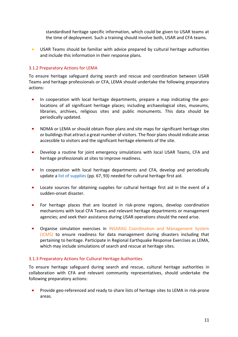standardised heritage specific information, which could be given to USAR teams at the time of deployment. Such a training should involve both, USAR and CFA teams.

 $\mathbf{r}$ USAR Teams should be familiar with advice prepared by cultural heritage authorities and include this information in their response plans.

# <span id="page-11-0"></span>3.1.2 Preparatory Actions for LEMA

To ensure heritage safeguard during search and rescue and coordination between USAR Teams and heritage professionals or CFA, LEMA should undertake the following preparatory actions:

- $\mathbf{r}$ In cooperation with local heritage departments, prepare a map indicating the geolocations of all significant heritage places; including archaeological sites, museums, libraries, archives, religious sites and public monuments. This data should be periodically updated.
- $\mathbf{r}$ NDMA or LEMA or should obtain floor plans and site maps for significant heritage sites or buildings that attract a great number of visitors. The floor plans should indicate areas accessible to visitors and the significant heritage elements of the site.
- a. Develop a routine for joint emergency simulations with local USAR Teams, CFA and heritage professionals at sites to improve readiness.
- $\blacksquare$ In cooperation with local heritage departments and CFA, develop and periodically update a [list of supplies](https://perma.cc/3LA9-9FZ8) (pp. 67, 93) needed for cultural heritage first aid.
- $\mathbf{r}$ Locate sources for obtaining supplies for cultural heritage first aid in the event of a sudden-onset disaster.
- $\blacksquare$ For heritage places that are located in risk-prone regions, develop coordination mechanisms with local CFA Teams and relevant heritage departments or management agencies; and seek their assistance during USAR operations should the need arise.
- $\blacksquare$ Organise simulation exercises in [INSARAG Coordination and Management System](#page-36-2)  [\(ICMS\)](#page-36-2) to ensure readiness for data management during disasters including that pertaining to heritage. Participate in Regional Earthquake Response Exercises as LEMA, which may include simulations of search and rescue at heritage sites.

# <span id="page-11-1"></span>3.1.3 Preparatory Actions for Cultural Heritage Authorities

To ensure heritage safeguard during search and rescue, cultural heritage authorities in collaboration with CFA and relevant community representatives, should undertake the following preparatory actions:

 $\mathbf{m}$  . Provide geo-referenced and ready to share lists of heritage sites to LEMA in risk-prone areas.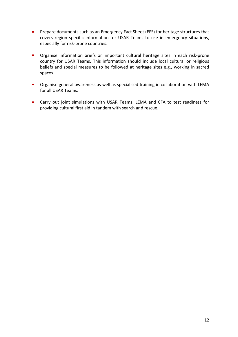- $\mathbf{r}$ Prepare documents such as an Emergency Fact Sheet (EFS) for heritage structures that covers region specific information for USAR Teams to use in emergency situations, especially for risk-prone countries.
- a. Organise information briefs on important cultural heritage sites in each risk-prone country for USAR Teams. This information should include local cultural or religious beliefs and special measures to be followed at heritage sites e.g., working in sacred spaces.
- **•** Organise general awareness as well as specialised training in collaboration with LEMA for all USAR Teams.
- **EXT** Carry out joint simulations with USAR Teams, LEMA and CFA to test readiness for providing cultural first aid in tandem with search and rescue.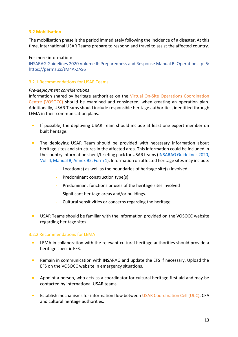## <span id="page-13-0"></span>**3.2 Mobilisation**

The mobilisation phase is the period immediately following the incidence of a disaster. At this time, international USAR Teams prepare to respond and travel to assist the affected country.

## For more information:

[INSARAG Guidelines 2020 Volume II: Preparedness and Response Manual B: Operations,](https://www.insarag.org/guidelines) p. 6: https://perma.cc/JM4A-ZAS6

## <span id="page-13-1"></span>3.2.1 Recommendations for USAR Teams

#### *Pre-deployment considerations*

Information shared by heritage authorities on the [Virtual On-Site Operations Coordination](#page-38-2)  [Centre \(VOSOCC\)](#page-38-2) should be examined and considered, when creating an operation plan. Additionally, USAR Teams should include responsible heritage authorities, identified through LEMA in their communication plans.

- If possible, the deploying USAR Team should include at least one expert member on  $\blacksquare$ built heritage.
- $\mathbb{Z}^{\mathbb{Z}}$ The deploying USAR Team should be provided with necessary information about heritage sites and structures in the affected area. This information could be included in the country information sheet/briefing pack for USAR teams[\(INSARAG Guidelines 2020,](https://perma.cc/5GUX-8KUZ)  [Vol. II, Manual B, Annex B5, Form 1\)](https://perma.cc/5GUX-8KUZ). Information on affected heritage sites may include:
	- **-** Location(s) as well as the boundaries of heritage site(s) involved
	- **-** Predominant construction type(s)
	- **-** Predominant functions or uses of the heritage sites involved
	- **-** Significant heritage areas and/or buildings.
	- **-** Cultural sensitivities or concerns regarding the heritage.
- $\blacksquare$ USAR Teams should be familiar with the information provided on the VOSOCC website regarding heritage sites.

## <span id="page-13-2"></span>3.2.2 Recommendations for LEMA

- LEMA in collaboration with the relevant cultural heritage authorities should provide a  $\mathbf{r}$ heritage specific EFS.
- $\mathbf{r}$ Remain in communication with INSARAG and update the EFS if necessary. Upload the EFS on the VOSOCC website in emergency situations.
- $\mathbf{m}$  . Appoint a person, who acts as a coordinator for cultural heritage first aid and may be contacted by international USAR teams.
- Establish mechanisms for information flow between [USAR Coordination Cell \(UCC\),](#page-38-3) CFA  $\mathbf{r}$ and cultural heritage authorities.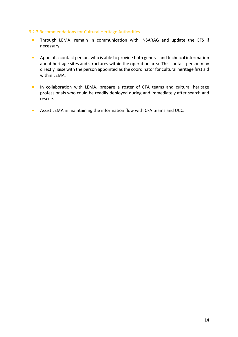## <span id="page-14-0"></span>3.2.3 Recommendations for Cultural Heritage Authorities

- $\blacksquare$ Through LEMA, remain in communication with INSARAG and update the EFS if necessary.
- Appoint a contact person, who is able to provide both general and technical information  $\mathbf{m}$  ,  $\mathbf{m}$ about heritage sites and structures within the operation area. This contact person may directly liaise with the person appointed as the coordinator for cultural heritage first aid within LEMA.
- $\mathbf{r}$ In collaboration with LEMA, prepare a roster of CFA teams and cultural heritage professionals who could be readily deployed during and immediately after search and rescue.
- Assist LEMA in maintaining the information flow with CFA teams and UCC. $\mathcal{L}_{\mathcal{A}}$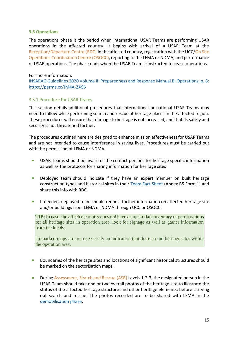## <span id="page-15-0"></span>**3.3 Operations**

The operations phase is the period when international USAR Teams are performing USAR operations in the affected country. It begins with arrival of a USAR Team at the [Reception/Departure Centre \(RDC\)](#page-37-2) in the affected country, registration with the UCC[/On Site](#page-36-3)  [Operations Coordination Centre \(OSOCC\),](#page-36-3) reporting to the LEMA or NDMA, and performance of USAR operations. The phase ends when the USAR Team is instructed to cease operations.

## For more information:

[INSARAG Guidelines 2020 Volume II: Preparedness and Response Manual B: Operations, p. 6:](#page-34-0)  [https://perma.cc/JM4A-ZAS6](#page-34-0)

# <span id="page-15-1"></span>3.3.1 Procedure for USAR Teams

This section details additional procedures that international or national USAR Teams may need to follow while performing search and rescue at heritage places in the affected region. These procedures will ensure that damage to heritage is not increased, and that its safety and security is not threatened further.

The procedures outlined here are designed to enhance mission effectiveness for USAR Teams and are not intended to cause interference in saving lives. Procedures must be carried out with the permission of LEMA or NDMA.

- USAR Teams should be aware of the contact persons for heritage specific information  $\mathbf{r}$ as well as the protocols for sharing information for heritage sites
- m. Deployed team should indicate if they have an expert member on built heritage construction types and historical sites in their [Team Fact Sheet](https://perma.cc/5GUX-8KUZ) (Annex B5 Form 1) and share this info with RDC.
- If needed, deployed team should request further information on affected heritage site  $\mathcal{L}_{\mathcal{A}}$ and/or buildings from LEMA or NDMA through UCC or OSOCC.

**TIP:** In case, the affected country does not have an up-to-date inventory or geo-locations for all heritage sites in operation area, look for signage as well as gather information from the locals.

Unmarked maps are not necessarily an indication that there are no heritage sites within the operation area.

- ×. Boundaries of the heritage sites and locations of significant historical structures should be marked on the sectorisation maps.
- $\mathbf{r}$ During [Assessment, Search and Rescue \(ASR\)](#page-34-3) Levels 1-2-3, the designated person in the USAR Team should take one or two overall photos of the heritage site to illustrate the status of the affected heritage structure and other heritage elements, before carrying out search and rescue. The photos recorded are to be shared with LEMA in the [demobilisation phase.](#page-18-0)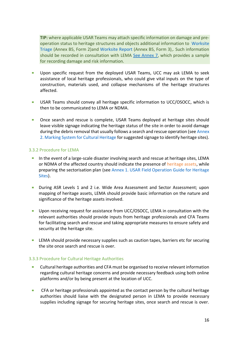**TIP:** where applicable USAR Teams may attach specific information on damage and preoperation status to heritage structures and objects additional information to [Worksite](https://perma.cc/5GUX-8KUZ)  [Triage](https://perma.cc/5GUX-8KUZ) (Annex B5, Form 2)and [Worksite Report](https://perma.cc/5GUX-8KUZ) (Annex B5, Form 3),. Such information should be recorded in consultation with LEMA [See Annex 7,](#page-30-0) which provides a sample for recording damage and risk information.

- Upon specific request from the deployed USAR Teams, UCC may ask LEMA to seek  $\mathcal{L}_{\mathcal{A}}$ assistance of local heritage professionals, who could give vital inputs on the type of construction, materials used, and collapse mechanisms of the heritage structures affected.
- $\blacksquare$ USAR Teams should convey all heritage specific information to UCC/OSOCC, which is then to be communicated to LEMA or NDMA.
- Once search and rescue is complete, USAR Teams deployed at heritage sites should ×. leave visible signage indicating the heritage status of the site in order to avoid damage during the debris removal that usually follows a search and rescue operation (se[e Annex](#page-25-0)  2. [Marking System for Cultural Heritage](#page-25-0) for suggested signage to identify heritage sites).

## <span id="page-16-0"></span>3.3.2 Procedure for LEMA

- In the event of a large-scale disaster involving search and rescue at heritage sites, LEMA or NDMA of the affected country should indicate the presence of [heritage assets,](#page-35-2) while preparing the sectorisation plan (see Annex 1. [USAR Field Operation Guide for Heritage](#page-23-0)  [Sites\)](#page-23-0).
- $\mathbb{R}^n$ During ASR Levels 1 and 2 i.e. Wide Area Assessment and Sector Assessment; upon mapping of heritage assets, LEMA should provide basic information on the nature and significance of the heritage assets involved.
- Upon receiving request for assistance from UCC/OSOCC, LEMA in consultation with the relevant authorities should provide inputs from heritage professionals and CFA Teams for facilitating search and rescue and taking appropriate measures to ensure safety and security at the heritage site.
- **EXA** should provide necessary supplies such as caution tapes, barriers etc for securing the site once search and rescue is over.

## <span id="page-16-1"></span>3.3.3 Procedure for Cultural Heritage Authorities

- **District** Cultural heritage authorities and CFA must be organised to receive relevant information regarding cultural heritage concerns and provide necessary feedback using both online platforms and/or by being present at the location of UCC.
- $\mathcal{L}_{\mathcal{A}}$ CFA or heritage professionals appointed as the contact person by the cultural heritage authorities should liaise with the designated person in LEMA to provide necessary supplies including signage for securing heritage sites, once search and rescue is over.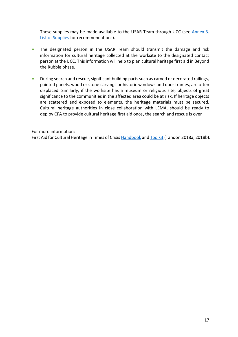These supplies may be made available to the USAR Team through UCC (see [Annex 3.](#page-26-0)  [List of Supplies](#page-26-0) for recommendations).

- The designated person in the USAR Team should transmit the damage and risk  $\blacksquare$ information for cultural heritage collected at the worksite to the designated contact person at the UCC. This information will help to plan cultural heritage first aid in Beyond the Rubble phase.
- During search and rescue, significant building parts such as carved or decorated railings,  $\mathcal{L}_{\mathcal{A}}$ painted panels, wood or stone carvings or historic windows and door frames, are often displaced. Similarly, if the worksite has a museum or religious site, objects of great significance to the communities in the affected area could be at risk. If heritage objects are scattered and exposed to elements, the heritage materials must be secured. Cultural heritage authorities in close collaboration with LEMA, should be ready to deploy CFA to provide cultural heritage first aid once, the search and rescue is over

For more information:

First Aid for Cultural Heritage in Times of Crisi[s Handbook](https://perma.cc/CS5P-5Y7S) an[d Toolkit](https://perma.cc/3LA9-9FZ8) (Tandon 2018a, 2018b).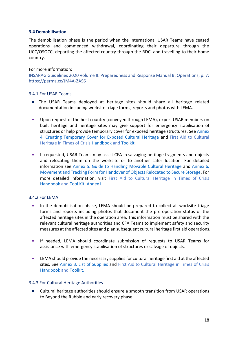## <span id="page-18-0"></span>**3.4 Demobilisation**

The demobilisation phase is the period when the international USAR Teams have ceased operations and commenced withdrawal, coordinating their departure through the UCC/OSOCC, departing the affected country through the RDC, and travelling to their home country.

## For more information:

[INSARAG Guidelines 2020 Volume II: Preparedness and Response Manual B: Operations,](https://www.insarag.org/guidelines) p. 7: https://perma.cc/JM4A-ZAS6

## <span id="page-18-1"></span>3.4.1 For USAR Teams

- The USAR Teams deployed at heritage sites should share all heritage related documentation including worksite triage forms, reports and photos with LEMA.
- $\mathbf{m}$  . Upon request of the host country (conveyed through LEMA), expert USAR members on built heritage and heritage sites may give support for emergency stabilisation of structures or help provide temporary cover for exposed heritage structures. See [Annex](#page-27-0)  4. [Creating Temporary Cover for Exposed Cultural Heritage](#page-27-0) and First Aid to Cultural Heritage in Times of Crisis [Handbook](https://perma.cc/CS5P-5Y7S) and [Toolkit.](https://perma.cc/3LA9-9FZ8)
- m. If requested, USAR Teams may assist CFA in salvaging heritage fragments and objects and relocating them on the worksite or to another safer location. For detailed information see [Annex 5. Guide to Handling Movable Cultural Heritage](#page-28-0) and [Annex 6.](#page-29-0)  [Movement and Tracking Form for Handover of Objects Relocated to Secure Storage.](#page-29-0) For more detailed information, visit First Aid to Cultural Heritage in Times of Crisis [Handbook](https://perma.cc/CS5P-5Y7S) and [Tool Kit, Annex II.](https://perma.cc/3LA9-9FZ8)

## <span id="page-18-2"></span>3.4.2 For LEMA

- In the demobilisation phase, LEMA should be prepared to collect all worksite triage forms and reports including photos that document the pre-operation status of the affected heritage sites in the operation area. This information must be shared with the relevant cultural heritage authorities and CFA Teams to implement safety and security measures at the affected sites and plan subsequent cultural heritage first aid operations.
- $\mathcal{L}_{\rm{max}}$ If needed, LEMA should coordinate submission of requests to USAR Teams for assistance with emergency stabilisation of structures or salvage of objects.
- LEMA should provide the necessary supplies for cultural heritage first aid at the affected  $\blacksquare$ sites. See [Annex 3. List of Supplies](#page-26-0) and First Aid to Cultural Heritage in Times of Crisis [Handbook](https://perma.cc/CS5P-5Y7S) and [Toolkit.](https://perma.cc/3LA9-9FZ8)

## <span id="page-18-3"></span>3.4.3 For Cultural Heritage Authorities

Cultural heritage authorities should ensure a smooth transition from USAR operations to Beyond the Rubble and early recovery phase.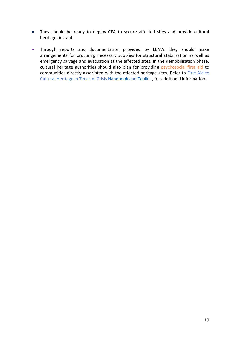- $\blacksquare$ They should be ready to deploy CFA to secure affected sites and provide cultural heritage first aid.
- Through reports and documentation provided by LEMA, they should make  $\blacksquare$ arrangements for procuring necessary supplies for structural stabilisation as well as emergency salvage and evacuation at the affected sites. In the demobilisation phase, cultural heritage authorities should also plan for providing [psychosocial first aid](#page-37-3) to communities directly associated with the affected heritage sites. Refer to First Aid to Cultural Heritage in Times of Crisis [Handbook](https://perma.cc/CS5P-5Y7S) and [Toolkit.,](https://perma.cc/3LA9-9FZ8) for additional information.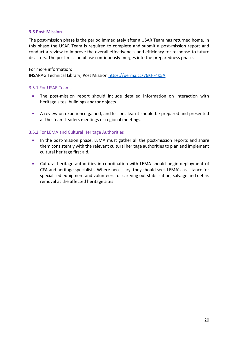## <span id="page-20-0"></span>**3.5 Post-Mission**

The post-mission phase is the period immediately after a USAR Team has returned home. In this phase the USAR Team is required to complete and submit a post-mission report and conduct a review to improve the overall effectiveness and efficiency for response to future disasters. The post-mission phase continuously merges into the preparedness phase.

For more information:

INSARAG Technical Library, Post Mission <https://perma.cc/76KH-4K5A>

## <span id="page-20-1"></span>3.5.1 For USAR Teams

- The post-mission report should include detailed information on interaction with heritage sites, buildings and/or objects.
- **College** A review on experience gained, and lessons learnt should be prepared and presented at the Team Leaders meetings or regional meetings.

## <span id="page-20-2"></span>3.5.2 For LEMA and Cultural Heritage Authorities

- $\mathcal{L}_{\mathcal{A}}$ In the post-mission phase, LEMA must gather all the post-mission reports and share them consistently with the relevant cultural heritage authorities to plan and implement cultural heritage first aid.
- $\mathcal{L}_{\text{max}}$ Cultural heritage authorities in coordination with LEMA should begin deployment of CFA and heritage specialists. Where necessary, they should seek LEMA's assistance for specialised equipment and volunteers for carrying out stabilisation, salvage and debris removal at the affected heritage sites.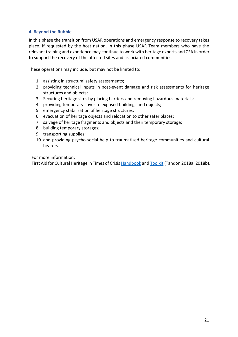# <span id="page-21-0"></span>**4. Beyond the Rubble**

In this phase the transition from USAR operations and emergency response to recovery takes place. If requested by the host nation, in this phase USAR Team members who have the relevant training and experience may continue to work with heritage experts and CFA in order to support the recovery of the affected sites and associated communities.

These operations may include, but may not be limited to:

- 1. assisting in structural safety assessments;
- 2. providing technical inputs in post-event damage and risk assessments for heritage structures and objects;
- 3. Securing heritage sites by placing barriers and removing hazardous materials;
- 4. providing temporary cover to exposed buildings and objects;
- 5. emergency stabilisation of heritage structures;
- 6. evacuation of heritage objects and relocation to other safer places;
- 7. salvage of heritage fragments and objects and their temporary storage;
- 8. building temporary storages;
- 9. transporting supplies;
- 10. and providing psycho-social help to traumatised heritage communities and cultural bearers.

For more information:

First Aid for Cultural Heritage in Times of Crisi[s Handbook](https://perma.cc/CS5P-5Y7S) an[d Toolkit](https://perma.cc/3LA9-9FZ8) (Tandon 2018a, 2018b).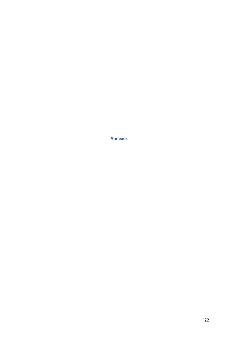<span id="page-22-0"></span>**Annexes**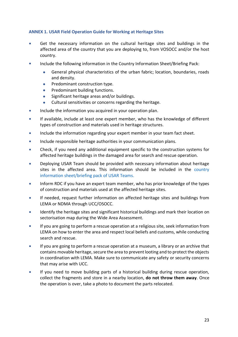# <span id="page-23-0"></span>**ANNEX 1. USAR Field Operation Guide for Working at Heritage Sites**

- a. Get the necessary information on the cultural heritage sites and buildings in the affected area of the country that you are deploying to, from VOSOCC and/or the host country.
- Include the following information in the Country Information Sheet/Briefing Pack:
	- General physical characteristics of the urban fabric; location, boundaries, roads and density.
	- Predominant construction type.
	- Predominant building functions.
	- Significant heritage areas and/or buildings.
	- Cultural sensitivities or concerns regarding the heritage.
- Include the information you acquired in your operation plan.  $\mathcal{L}_{\mathcal{A}}$
- If available, include at least one expert member, who has the knowledge of different types of construction and materials used in heritage structures.
- Include the information regarding your expert member in your team fact sheet. **COL**
- Include responsible heritage authorities in your communication plans.  $\sim$
- Check, if you need any additional equipment specific to the construction systems for affected heritage buildings in the damaged area for search and rescue operation.
- ٠ Deploying USAR Team should be provided with necessary information about heritage sites in the affected area. This information should be included in the [country](https://perma.cc/5GUX-8KUZ)  [information sheet/briefing pack of USAR Teams.](https://perma.cc/5GUX-8KUZ)
- Inform RDC if you have an expert team member, who has prior knowledge of the types  $\blacksquare$ of construction and materials used at the affected heritage sites.
- If needed, request further information on affected heritage sites and buildings from LEMA or NDMA through UCC/OSOCC.
- Identify the heritage sites and significant historical buildings and mark their location on  $\blacksquare$ sectorisation map during the Wide Area Assessment.
- $\overline{\phantom{a}}$ If you are going to perform a rescue operation at a religious site, seek information from LEMA on how to enter the area and respect local beliefs and customs, while conducting search and rescue.
- If you are going to perform a rescue operation at a museum, a library or an archive that contains movable heritage, secure the area to prevent looting and to protect the objects in coordination with LEMA. Make sure to communicate any safety or security concerns that may arise with UCC.
- If you need to move building parts of a historical building during rescue operation, collect the fragments and store in a nearby location, **do not throw them away**. Once the operation is over, take a photo to document the parts relocated.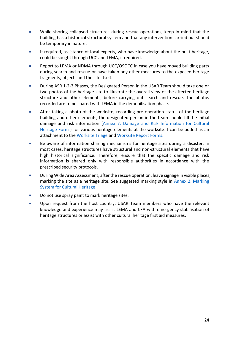- While shoring collapsed structures during rescue operations, keep in mind that the ٠ building has a historical structural system and that any intervention carried out should be temporary in nature.
- If required, assistance of local experts, who have knowledge about the built heritage, could be sought through UCC and LEMA, if required.
- Report to LEMA or NDMA through UCC/OSOCC in case you have moved building parts ٠ during search and rescue or have taken any other measures to the exposed heritage fragments, objects and the site itself.
- ×. During ASR 1-2-3 Phases, the Designated Person in the USAR Team should take one or two photos of the heritage site to illustrate the overall view of the affected heritage structure and other elements, before carrying out search and rescue. The photos recorded are to be shared with LEMA in the demobilisation phase.
- ×. After taking a photo of the worksite, recording pre-operation status of the heritage building and other elements, the designated person in the team should fill the initial damage and risk information [\(Annex 7. Damage and Risk Information for Cultural](#page-30-0)  [Heritage Form \)](#page-30-0) for various heritage elements at the worksite. I can be added as an attachment to the [Worksite Triage](https://perma.cc/5GUX-8KUZ) an[d Worksite Report](https://perma.cc/5GUX-8KUZ) Forms.
- a. Be aware of information sharing mechanisms for heritage sites during a disaster. In most cases, heritage structures have structural and non-structural elements that have high historical significance. Therefore, ensure that the specific damage and risk information is shared only with responsible authorities in accordance with the prescribed security protocols.
- $\mathbf{r}$ During Wide Area Assessment, after the rescue operation, leave signage in visible places, marking the site as a heritage site. See suggested marking style in [Annex 2. Marking](#page-25-0)  [System for Cultural Heritage.](#page-25-0)
- ×. Do not use spray paint to mark heritage sites.
- Upon request from the host country, USAR Team members who have the relevant knowledge and experience may assist LEMA and CFA with emergency stabilisation of heritage structures or assist with other cultural heritage first aid measures.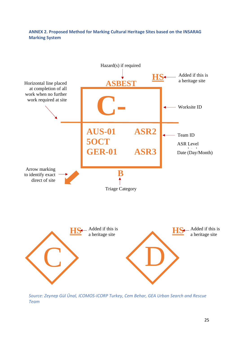# <span id="page-25-0"></span>**ANNEX 2. Proposed Method for Marking Cultural Heritage Sites based on the INSARAG Marking System**



*Source: Zeynep Gül Ünal, ICOMOS-ICORP Turkey, Cem Behar, GEA Urban Search and Rescue Team*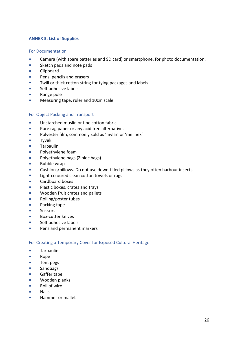# <span id="page-26-0"></span>**ANNEX 3. List of Supplies**

## <span id="page-26-1"></span>For Documentation

- Camera (with spare batteries and SD card) or smartphone, for photo documentation.  $\sim$
- Sketch pads and note pads  $\mathcal{L}_{\mathcal{A}}$
- Clipboard  $\overline{\phantom{a}}$
- Pens, pencils and erasers ٠
- $\mathbf{m}$ Twill or thick cotton string for tying packages and labels
- $\mathcal{L}_{\mathcal{A}}$ Self-adhesive labels
- $\mathbf{r}$ Range pole
- $\mathbf{r}$ Measuring tape, ruler and 10cm scale

## <span id="page-26-2"></span>For Object Packing and Transport

- m. Unstarched muslin or fine cotton fabric.
- m. Pure rag paper or any acid free alternative.
- $\mathbf{r}$ Polyester film, commonly sold as 'mylar' or 'melinex'
- Tyvek  $\mathcal{L}_{\mathcal{A}}$
- $\mathcal{C}^{\mathcal{A}}$ Tarpaulin
- $\mathcal{L}_{\mathcal{A}}$ Polyethylene foam
- $\mathcal{L}_{\mathcal{A}}$ Polyethylene bags (Ziploc bags).
- $\mathbf{r}$ Bubble wrap
- $\mathcal{L}_{\mathcal{A}}$ Cushions/pillows. Do not use down-filled pillows as they often harbour insects.
- Light-coloured clean cotton towels or rags ×.
- Cardboard boxes  $\overline{\phantom{a}}$
- Plastic boxes, crates and trays  $\mathcal{L}_{\mathcal{A}}$
- Wooden fruit crates and pallets  $\overline{\phantom{a}}$
- à. Rolling/poster tubes
- $\overline{\phantom{a}}$ Packing tape
- **Scissors**  $\mathbf{r}$
- Box-cutter knives  $\overline{\phantom{a}}$
- ٠ Self-adhesive labels
- $\overline{\phantom{a}}$ Pens and permanent markers

# <span id="page-26-3"></span>For Creating a Temporary Cover for Exposed Cultural Heritage

- $\overline{\phantom{a}}$ **Tarpaulin**
- $\blacksquare$ Rope
- ×. Tent pegs
- Sandbags  $\mathcal{L}_{\mathcal{A}}$
- $\blacksquare$ Gaffer tape
- m. Wooden planks
- **COL** Roll of wire
- Nails  $\sim$
- Hammer or malletm.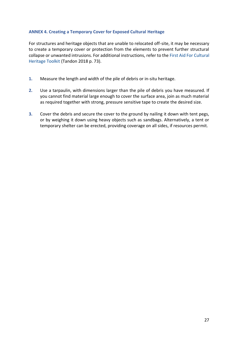# <span id="page-27-0"></span>**ANNEX 4. Creating a Temporary Cover for Exposed Cultural Heritage**

For structures and heritage objects that are unable to relocated off-site, it may be necessary to create a temporary cover or protection from the elements to prevent further structural collapse or unwanted intrusions. For additional instructions, refer to the [First Aid For Cultural](https://perma.cc/3LA9-9FZ8)  [Heritage Toolkit](https://perma.cc/3LA9-9FZ8) (Tandon 2018 p. 73).

- **1.** Measure the length and width of the pile of debris or in-situ heritage.
- **2.** Use a tarpaulin, with dimensions larger than the pile of debris you have measured. If you cannot find material large enough to cover the surface area, join as much material as required together with strong, pressure sensitive tape to create the desired size.
- **3.** Cover the debris and secure the cover to the ground by nailing it down with tent pegs, or by weighing it down using heavy objects such as sandbags. Alternatively, a tent or temporary shelter can be erected, providing coverage on all sides, if resources permit.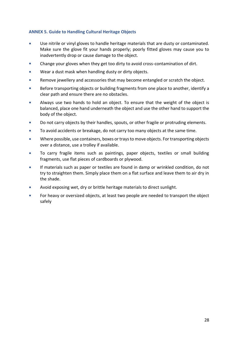# <span id="page-28-0"></span>**ANNEX 5. Guide to Handling Cultural Heritage Objects**

- $\mathbf{r}$ Use nitrile or vinyl gloves to handle heritage materials that are dusty or contaminated. Make sure the glove fit your hands properly; poorly fitted gloves may cause you to inadvertently drop or cause damage to the object.
- Change your gloves when they get too dirty to avoid cross-contamination of dirt. ×.
- $\blacksquare$ Wear a dust mask when handling dusty or dirty objects.
- m. Remove jewellery and accessories that may become entangled or scratch the object.
- **COL** Before transporting objects or building fragments from one place to another, identify a clear path and ensure there are no obstacles.
- a. Always use two hands to hold an object. To ensure that the weight of the object is balanced, place one hand underneath the object and use the other hand to support the body of the object.
- $\mathcal{C}$ Do not carry objects by their handles, spouts, or other fragile or protruding elements.
- $\blacksquare$ To avoid accidents or breakage, do not carry too many objects at the same time.
- m. Where possible, use containers, boxes or trays to move objects. For transporting objects over a distance, use a trolley if available.
- To carry fragile items such as paintings, paper objects, textiles or small building fragments, use flat pieces of cardboards or plywood.
- m. If materials such as paper or textiles are found in damp or wrinkled condition, do not try to straighten them. Simply place them on a flat surface and leave them to air dry in the shade.
- Avoid exposing wet, dry or brittle heritage materials to direct sunlight. a.
- For heavy or oversized objects, at least two people are needed to transport the object safely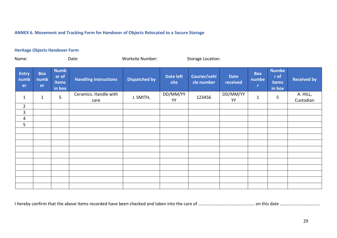# **ANNEX 6. Movement and Tracking Form for Handover of Objects Relocated to a Secure Storage**

## **Heritage Objects Handover Form**

<span id="page-29-0"></span>

| Name:                      | Date:                    |                                                |                               | Worksite Number:     |                          | <b>Storage Location:</b>   |                         |                          |                                                |                       |
|----------------------------|--------------------------|------------------------------------------------|-------------------------------|----------------------|--------------------------|----------------------------|-------------------------|--------------------------|------------------------------------------------|-----------------------|
| <b>Entry</b><br>numb<br>er | <b>Box</b><br>numb<br>er | <b>Numb</b><br>er of<br><b>items</b><br>in box | <b>Handling instructions</b>  | <b>Dispatched by</b> | <b>Date left</b><br>site | Courier/vehi<br>cle number | <b>Date</b><br>received | <b>Box</b><br>numbe<br>r | <b>Numbe</b><br>r of<br><b>items</b><br>in box | <b>Received by</b>    |
| $\mathbf{1}$               | $\mathbf{1}$             | 5                                              | Ceramics. Handle with<br>care | J. SMITH,            | DD/MM/YY<br>YY           | 123456                     | DD/MM/YY<br>YY          | $\mathbf{1}$             | 5                                              | A. HILL,<br>Custodian |
| $\overline{2}$             |                          |                                                |                               |                      |                          |                            |                         |                          |                                                |                       |
| $\mathbf{3}$               |                          |                                                |                               |                      |                          |                            |                         |                          |                                                |                       |
| $\overline{4}$             |                          |                                                |                               |                      |                          |                            |                         |                          |                                                |                       |
| 5                          |                          |                                                |                               |                      |                          |                            |                         |                          |                                                |                       |
|                            |                          |                                                |                               |                      |                          |                            |                         |                          |                                                |                       |
|                            |                          |                                                |                               |                      |                          |                            |                         |                          |                                                |                       |
|                            |                          |                                                |                               |                      |                          |                            |                         |                          |                                                |                       |
|                            |                          |                                                |                               |                      |                          |                            |                         |                          |                                                |                       |
|                            |                          |                                                |                               |                      |                          |                            |                         |                          |                                                |                       |
|                            |                          |                                                |                               |                      |                          |                            |                         |                          |                                                |                       |
|                            |                          |                                                |                               |                      |                          |                            |                         |                          |                                                |                       |
|                            |                          |                                                |                               |                      |                          |                            |                         |                          |                                                |                       |
|                            |                          |                                                |                               |                      |                          |                            |                         |                          |                                                |                       |
|                            |                          |                                                |                               |                      |                          |                            |                         |                          |                                                |                       |

I hereby confirm that the above items recorded have been checked and taken into the care of …………………………………………… on this date ………………………………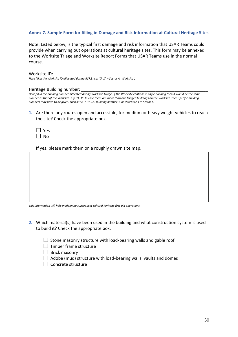# <span id="page-30-0"></span>**Annex 7. Sample Form for filling in Damage and Risk Information at Cultural Heritage Sites**

Note: Listed below, is the typical first damage and risk information that USAR Teams could provide when carrying out operations at cultural heritage sites. This form may be annexed to the Worksite Triage and Worksite Report Forms that USAR Teams use in the normal course.

## Worksite ID: \_\_\_\_\_\_\_\_\_\_\_\_\_\_\_\_\_\_\_\_\_\_\_\_\_\_\_\_\_\_\_\_\_\_\_\_\_\_\_\_\_\_\_\_\_\_\_\_\_\_\_\_\_\_\_\_\_\_\_\_\_\_\_\_

*Here fill in the Worksite ID allocated during ASR2, e.g. "A-1" – Sector A- Worksite 1*

#### Heritage Building number:

*Here fill in the building number allocated during Worksite Triage. If the Worksite contains a single building then it would be the same number as that of the Worksite, e.g. "A-1". In case there are more than one triaged buildings on the Worksite, then specific building numbers may have to be given, such as "A-1-3", i.e. Building number 3, on Worksite 1 in Sector A.*

**1.** Are there any routes open and accessible, for medium or heavy weight vehicles to reach the site? Check the appropriate box.

| L | s<br>e      |
|---|-------------|
| L | J<br>n<br>N |

If yes, please mark them on a roughly drawn site map.

*This information will help in planning subsequent cultural heritage first aid operations.* 

- **2.** Which material(s) have been used in the building and what construction system is used to build it? Check the appropriate box.
	- $\Box$  Stone masonry structure with load-bearing walls and gable roof
	- $\Box$  Timber frame structure
	- $\Box$  Brick masonry
	- $\Box$  Adobe (mud) structure with load-bearing walls, vaults and domes
	- $\Box$  Concrete structure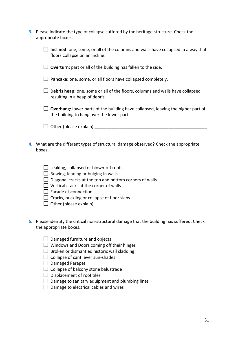| <b>3.</b> Please indicate the type of collapse suffered by the heritage structure. Check the |
|----------------------------------------------------------------------------------------------|
| appropriate boxes.                                                                           |

|    | Inclined: one, some, or all of the columns and walls have collapsed in a way that<br>floors collapse on an incline.                                                                                                                                                                                                  |
|----|----------------------------------------------------------------------------------------------------------------------------------------------------------------------------------------------------------------------------------------------------------------------------------------------------------------------|
|    | $\Box$ Overturn: part or all of the building has fallen to the side.                                                                                                                                                                                                                                                 |
|    | Pancake: one, some, or all floors have collapsed completely.                                                                                                                                                                                                                                                         |
|    | Debris heap: one, some or all of the floors, columns and walls have collapsed<br>resulting in a heap of debris                                                                                                                                                                                                       |
|    | <b>Overhang:</b> lower parts of the building have collapsed, leaving the higher part of<br>the building to hang over the lower part.                                                                                                                                                                                 |
|    |                                                                                                                                                                                                                                                                                                                      |
| 4. | What are the different types of structural damage observed? Check the appropriate<br>boxes.                                                                                                                                                                                                                          |
|    | $\Box$ Leaking, collapsed or blown-off roofs<br>$\Box$ Bowing, leaning or bulging in walls<br>Diagonal cracks at the top and bottom corners of walls<br>$\Box$ Vertical cracks at the corner of walls<br>$\Box$ Façade disconnection<br>$\Box$ Cracks, buckling or collapse of floor slabs<br>Other (please explain) |

- **5.** Please identify the critical non-structural damage that the building has suffered. Check the appropriate boxes.
	- $\Box$  Damaged furniture and objects
	- $\Box$  Windows and Doors coming off their hinges
	- $\Box$  Broken or dismantled historic wall cladding
	- $\Box$  Collapse of cantilever sun-shades
	- $\Box$  Damaged Parapet
	- $\Box$  Collapse of balcony stone balustrade
	- $\square$  Displacement of roof tiles
	- $\Box$  Damage to sanitary equipment and plumbing lines
	- $\Box$  Damage to electrical cables and wires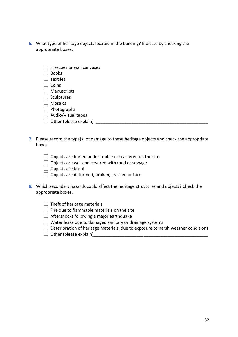**6.** What type of heritage objects located in the building? Indicate by checking the appropriate boxes.

| $\Box$ Frescoes or wall canvases |  |
|----------------------------------|--|
|----------------------------------|--|

- $\Box$  Books
- $\Box$  Textiles
- $\Box$  Coins
- $\Box$  Manuscripts
- $\Box$  Sculptures
- $\Box$  Mosaics
- $\Box$  Photographs
- $\Box$  Audio/Visual tapes
- $\Box$  Other (please explain)
- **7.** Please record the type(s) of damage to these heritage objects and check the appropriate boxes.

| $\Box$ Objects are buried under rubble or scattered on the site |
|-----------------------------------------------------------------|
|-----------------------------------------------------------------|

- $\Box$  Objects are wet and covered with mud or sewage.
- $\Box$  Objects are burnt
- $\Box$  Objects are deformed, broken, cracked or torn
- **8.** Which secondary hazards could affect the heritage structures and objects? Check the appropriate boxes.

| $\Box$ Theft of heritage materials |  |
|------------------------------------|--|
|------------------------------------|--|

- $\Box$  Fire due to flammable materials on the site
- $\Box$  Aftershocks following a major earthquake
- $\Box$  Water leaks due to damaged sanitary or drainage systems
- $\Box$  Deterioration of heritage materials, due to exposure to harsh weather conditions
- $\Box$  Other (please explain)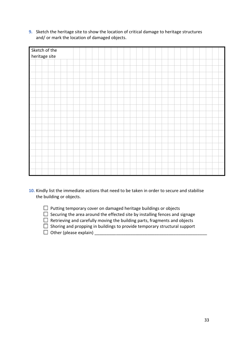**9.** Sketch the heritage site to show the location of critical damage to heritage structures and/ or mark the location of damaged objects.

| Sketch of the<br>heritage site |  |  |  |  |  |  |  |  |
|--------------------------------|--|--|--|--|--|--|--|--|
|                                |  |  |  |  |  |  |  |  |
|                                |  |  |  |  |  |  |  |  |
|                                |  |  |  |  |  |  |  |  |
|                                |  |  |  |  |  |  |  |  |
|                                |  |  |  |  |  |  |  |  |
|                                |  |  |  |  |  |  |  |  |
|                                |  |  |  |  |  |  |  |  |
|                                |  |  |  |  |  |  |  |  |
|                                |  |  |  |  |  |  |  |  |
|                                |  |  |  |  |  |  |  |  |
|                                |  |  |  |  |  |  |  |  |
|                                |  |  |  |  |  |  |  |  |
|                                |  |  |  |  |  |  |  |  |
|                                |  |  |  |  |  |  |  |  |
|                                |  |  |  |  |  |  |  |  |
|                                |  |  |  |  |  |  |  |  |
|                                |  |  |  |  |  |  |  |  |
|                                |  |  |  |  |  |  |  |  |

- **10.** Kindly list the immediate actions that need to be taken in order to secure and stabilise the building or objects.
	- $\Box$  Putting temporary cover on damaged heritage buildings or objects
	- $\Box$  Securing the area around the effected site by installing fences and signage
	- $\Box$  Retrieving and carefully moving the building parts, fragments and objects
	- $\Box$  Shoring and propping in buildings to provide temporary structural support
	- Other (please explain) \_\_\_\_\_\_\_\_\_\_\_\_\_\_\_\_\_\_\_\_\_\_\_\_\_\_\_\_\_\_\_\_\_\_\_\_\_\_\_\_\_\_\_\_\_\_\_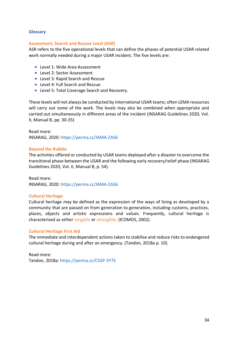## <span id="page-34-0"></span>**Glossary**

#### <span id="page-34-3"></span>**Assessment, Search and Rescue Level (ASR)**

ASR refers to the five operational levels that can define the phases of potential USAR related work normally needed during a major USAR incident. The five levels are:

- **Level 1: Wide Area Assessment**
- **Level 2: Sector Assessment**
- Level 3: Rapid Search and Rescue
- **Level 4: Full Search and Rescue**
- **Level 5: Total Coverage Search and Recovery.**

These levels will not always be conducted by international USAR teams; often LEMA resources will carry out some of the work. The levels may also be combined when appropriate and carried out simultaneously in different areas of the incident (INSARAG Guidelines 2020, Vol. II, Manual B, pp. 30-35)

Read more: INSARAG, 2020:<https://perma.cc/JM4A-ZAS6>

#### **Beyond the Rubble**

The activities offered or conducted by USAR teams deployed after a disaster to overcome the transitional phase between the USAR and the following early recovery/relief phase (INSARAG Guidelines 2020, Vol. II, Manual B, p. 54).

Read more: INSARAG, 2020:<https://perma.cc/JM4A-ZAS6>

## <span id="page-34-2"></span>**Cultural Heritage**

Cultural heritage may be defined as the expression of the ways of living as developed by a community that are passed on from generation to generation, including customs, practices, places, objects and artistic expressions and values. Frequently, cultural heritage is characterised as either tangible or intangible. (ICOMOS, 2002).

#### <span id="page-34-1"></span>**Cultural Heritage First Aid**

The immediate and interdependent actions taken to stabilise and reduce risks to endangered cultural heritage during and after an emergency. (Tandon, 2018a p. 10).

Read more: Tandon, 2018a:<https://perma.cc/CS5P-5Y7S>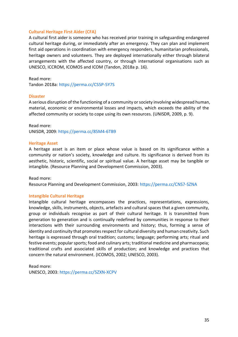## <span id="page-35-0"></span>**Cultural Heritage First Aider (CFA)**

A cultural first aider is someone who has received prior training in safeguarding endangered cultural heritage during, or immediately after an emergency. They can plan and implement first aid operations in coordination with emergency responders, humanitarian professionals, heritage owners and volunteers. They are deployed internationally either through bilateral arrangements with the affected country, or through international organisations such as UNESCO, ICCROM, ICOMOS and ICOM (Tandon, 2018a p. 16).

Read more:

Tandon 2018a:<https://perma.cc/CS5P-5Y7S>

#### **Disaster**

A serious disruption of the functioning of a community or society involving widespread human, material, economic or environmental losses and impacts, which exceeds the ability of the affected community or society to cope using its own resources. (UNISDR, 2009, p. 9).

Read more: UNISDR, 2009:<https://perma.cc/85M4-6TB9>

#### <span id="page-35-2"></span>**Heritage Asset**

A heritage asset is an item or place whose value is based on its significance within a community or nation's society, knowledge and culture. Its significance is derived from its aesthetic, historic, scientific, social or spiritual value. A heritage asset may be tangible or intangible. (Resource Planning and Development Commission, 2003).

Read more: Resource Planning and Development Commission, 2003: <https://perma.cc/CNS7-SZNA>

## <span id="page-35-1"></span>**Intangible Cultural Heritage**

Intangible cultural heritage encompasses the practices, representations, expressions, knowledge, skills, instruments, objects, artefacts and cultural spaces that a given community, group or individuals recognise as part of their cultural heritage. It is transmitted from generation to generation and is continually redefined by communities in response to their interactions with their surrounding environments and history; thus, forming a sense of identity and continuity that promotes respect for cultural diversity and human creativity. Such heritage is expressed through oral tradition; customs; language; performing arts; ritual and festive events; popular sports; food and culinary arts; traditional medicine and pharmacopeia; traditional crafts and associated skills of production; and knowledge and practices that concern the natural environment. (ICOMOS, 2002; UNESCO, 2003).

Read more: UNESCO, 2003:<https://perma.cc/5ZXN-XCPV>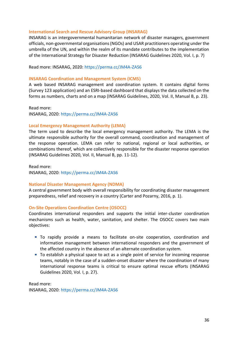## **International Search and Rescue Advisory Group (INSARAG)**

INSARAG is an intergovernmental humanitarian network of disaster managers, government officials, non-governmental organisations (NGOs) and USAR practitioners operating under the umbrella of the UN, and within the realm of its mandate contributes to the implementation of the International Strategy for Disaster Reduction (INSARAG Guidelines 2020, Vol. I, p. 7)

#### Read more: INSARAG, 2020:<https://perma.cc/JM4A-ZAS6>

#### <span id="page-36-2"></span>**INSARAG Coordination and Management System (ICMS)**

A web based INSARAG management and coordination system. It contains digital forms (Survey 123 application) and an ESRI-based dashboard that displays the data collected on the forms as numbers, charts and on a map (INSARAG Guidelines, 2020, Vol. II, Manual B, p. 23).

Read more:

INSARAG, 2020:<https://perma.cc/JM4A-ZAS6>

#### <span id="page-36-1"></span>**Local Emergency Management Authority (LEMA)**

The term used to describe the local emergency management authority. The LEMA is the ultimate responsible authority for the overall command, coordination and management of the response operation. LEMA can refer to national, regional or local authorities, or combinations thereof, which are collectively responsible for the disaster response operation (INSARAG Guidelines 2020, Vol. II, Manual B, pp. 11-12).

Read more: INSARAG, 2020:<https://perma.cc/JM4A-ZAS6>

#### <span id="page-36-0"></span>**National Disaster Management Agency (NDMA)**

A central government body with overall responsibility for coordinating disaster management preparedness, relief and recovery in a country (Carter and Pozarny, 2016, p. 1).

#### <span id="page-36-3"></span>**On-Site Operations Coordination Centre (OSOCC)**

Coordinates international responders and supports the initial inter-cluster coordination mechanisms such as health, water, sanitation, and shelter. The OSOCC covers two main objectives:

- To rapidly provide a means to facilitate on-site cooperation, coordination and information management between international responders and the government of the affected country in the absence of an alternate coordination system.
- To establish a physical space to act as a single point of service for incoming response teams, notably in the case of a sudden-onset disaster where the coordination of many international response teams is critical to ensure optimal rescue efforts (INSARAG Guidelines 2020, Vol. I, p. 27).

Read more: INSARAG, 2020:<https://perma.cc/JM4A-ZAS6>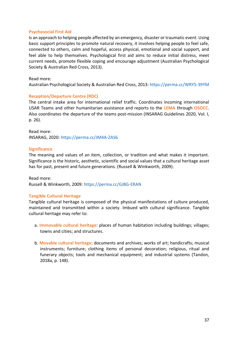## <span id="page-37-3"></span>**Psychosocial First Aid**

Is an approach to helping people affected by an emergency, disaster or traumatic event. Using basic support principles to promote natural recovery, it involves helping people to feel safe, connected to others, calm and hopeful, access physical, emotional and social support, and feel able to help themselves. Psychological first aid aims to reduce initial distress, meet current needs, promote flexible coping and encourage adjustment (Australian Psychological Society & Australian Red Cross, 2013).

## Read more:

Australian Psychological Society & Australian Red Cross, 2013:<https://perma.cc/WRY5-39YM>

## <span id="page-37-2"></span>**Reception/Departure Centre (RDC)**

The central intake area for international relief traffic. Coordinates incoming international USAR Teams and other humanitarian assistance and reports to the **LEMA** through **OSOCC**. Also coordinates the departure of the teams post-mission (INSARAG Guidelines 2020, Vol. I, p. 26).

Read more: INSARAG, 2020:<https://perma.cc/JM4A-ZAS6>

## <span id="page-37-1"></span>**Significance**

The meaning and values of an item, collection, or tradition and what makes it important. Significance is the historic, aesthetic, scientific and social values that a cultural heritage asset has for past, present and future generations. (Russell & Winkworth, 2009).

Read more: Russell & Winkworth, 2009: https://perma.cc/GJ8G-ERAN

# <span id="page-37-0"></span>**Tangible Cultural Heritage**

Tangible cultural heritage is composed of the physical manifestations of culture produced, maintained and transmitted within a society. Imbued with cultural significance. Tangible cultural heritage may refer to:

- a. **Immovable cultural heritage**: places of human habitation including buildings; villages; towns and cities; and structures.
- b. **Movable cultural heritage**: documents and archives; works of art; handicrafts; musical instruments; furniture; clothing items of personal decoration; religious, ritual and funerary objects; tools and mechanical equipment; and industrial systems (Tandon, 2018a, p. 148).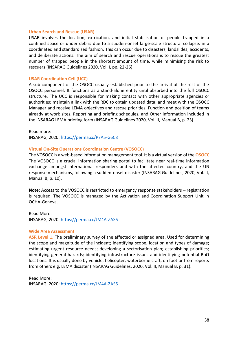#### <span id="page-38-0"></span>**Urban Search and Rescue (USAR)**

USAR involves the location, extrication, and initial stabilisation of people trapped in a confined space or under debris due to a sudden-onset large-scale structural collapse, in a coordinated and standardised fashion. This can occur due to disasters, landslides, accidents, and deliberate actions. The aim of search and rescue operations is to rescue the greatest number of trapped people in the shortest amount of time, while minimising the risk to rescuers (INSARAG Guidelines 2020, Vol. I, pp. 22-26).

#### <span id="page-38-3"></span>**USAR Coordination Cell (UCC)**

A sub-component of the OSOCC usually established prior to the arrival of the rest of the OSOCC personnel. It functions as a stand-alone entity until absorbed into the full OSOCC structure. The UCC is responsible for making contact with other appropriate agencies or authorities; maintain a link with the RDC to obtain updated data; and meet with the OSOCC Manager and receive LEMA objectives and rescue priorities, Function and position of teams already at work sites, Reporting and briefing schedules, and Other information included in the INSARAG LEMA briefing form (INSARAG Guidelines 2020, Vol. II, Manual B, p. 23).

Read more:

INSARAG, 2020:<https://perma.cc/P7A5-G6C8>

#### <span id="page-38-2"></span>**Virtual On-Site Operations Coordination Centre (VOSOCC)**

The VOSOCC is a web-based information management tool. It is a virtual version of the **OSOCC**. The VOSOCC is a crucial information sharing portal to facilitate near real-time information exchange amongst international responders and with the affected country, and the UN response mechanisms, following a sudden-onset disaster (INSARAG Guidelines, 2020, Vol. II, Manual B, p. 10).

**Note:** Access to the VOSOCC is restricted to emergency response stakeholders – registration is required. The VOSOCC is managed by the Activation and Coordination Support Unit in OCHA-Geneva.

Read More: INSARAG, 2020:<https://perma.cc/JM4A-ZAS6>

#### <span id="page-38-1"></span>**Wide Area Assessment**

ASR Level 1, The preliminary survey of the affected or assigned area. Used for determining the scope and magnitude of the incident; identifying scope, location and types of damage; estimating urgent resource needs; developing a sectorisation plan; establishing priorities; identifying general hazards; identifying infrastructure issues and identifying potential BoO locations. It is usually done by vehicle, helicopter, waterborne craft, on foot or from reports from others e.g. LEMA disaster (INSARAG Guidelines, 2020, Vol. II, Manual B, p. 31).

Read More: INSARAG, 2020:<https://perma.cc/JM4A-ZAS6>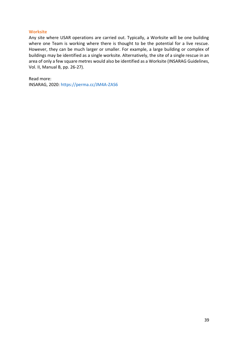## **Worksite**

Any site where USAR operations are carried out. Typically, a Worksite will be one building where one Team is working where there is thought to be the potential for a live rescue. However, they can be much larger or smaller. For example, a large building or complex of buildings may be identified as a single worksite. Alternatively, the site of a single rescue in an area of only a few square metres would also be identified as a Worksite (INSARAG Guidelines, Vol. II, Manual B, pp. 26-27).

Read more: INSARAG, 2020:<https://perma.cc/JM4A-ZAS6>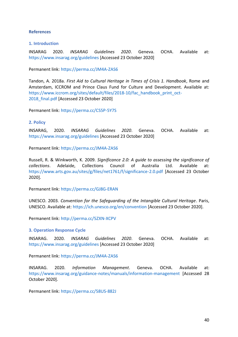## <span id="page-40-0"></span>**References**

## **1. Introduction**

INSARAG 2020. *INSARAG Guidelines 2020*. Geneva. OCHA. Available at: <https://www.insarag.org/guidelines> [Accessed 23 October 2020]

Permanent link:<https://perma.cc/JM4A-ZAS6>

Tandon, A. 2018a. *First Aid to Cultural Heritage in Times of Crisis 1. Handbook*, Rome and Amsterdam, ICCROM and Prince Claus Fund for Culture and Development. Available at: [https://www.iccrom.org/sites/default/files/2018-10/fac\\_handbook\\_print\\_oct-](https://www.iccrom.org/sites/default/files/2018-10/fac_handbook_print_oct-2018_final.pdf)2018 final.pdf [Accessed 23 October 2020]

Permanent link:<https://perma.cc/CS5P-5Y7S>

## **2. Policy**

INSARAG, 2020. *INSARAG Guidelines 2020*. Geneva. OCHA. Available at: <https://www.insarag.org/guidelines> [Accessed 23 October 2020]

Permanent link:<https://perma.cc/JM4A-ZAS6>

Russell, R. & Winkworth, K. 2009. *Significance 2.0: A guide to assessing the significance of collections*. Adelaide, Collections Council of Australia Ltd. Available at: <https://www.arts.gov.au/sites/g/files/net1761/f/significance-2.0.pdf> [Accessed 23 October 2020].

Permanent link:<https://perma.cc/GJ8G-ERAN>

UNESCO. 2003. *Convention for the Safeguarding of the Intangible Cultural Heritage*. Paris, UNESCO. Available at[: https://ich.unesco.org/en/convention](https://ich.unesco.org/en/convention) [Accessed 23 October 2020].

Permanent link:<http://perma.cc/5ZXN-XCPV>

#### **3. Operation Response Cycle**

INSARAG. 2020. *INSARAG Guidelines 2020*. Geneva. OCHA. Available at: <https://www.insarag.org/guidelines> [Accessed 23 October 2020]

Permanent link:<https://perma.cc/JM4A-ZAS6>

INSARAG. 2020. *Information Management*. Geneva. OCHA. Available at: <https://www.insarag.org/guidance-notes/manuals/information-management> [Accessed 28 October 2020].

Permanent link:<https://perma.cc/58US-882J>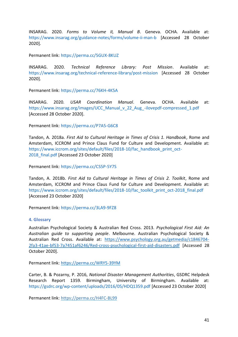INSARAG. 2020. *Forms to Volume II, Manual B*. Geneva. OCHA. Available at: <https://www.insarag.org/guidance-notes/forms/volume-ii-man-b> [Accessed 28 October 2020].

Permanent link:<https://perma.cc/5GUX-8KUZ>

INSARAG. 2020. *Technical Reference Library: Post Mission*. Available at: <https://www.insarag.org/technical-reference-library/post-mission> [Accessed 28 October 2020].

Permanent link:<https://perma.cc/76KH-4K5A>

INSARAG. 2020. *USAR Coordination Manual*. Geneva. OCHA. Available at: [https://www.insarag.org/images/UCC\\_Manual\\_v\\_22\\_Aug\\_-ilovepdf-compressed\\_1.pdf](https://www.insarag.org/images/UCC_Manual_v_22_Aug_-ilovepdf-compressed_1.pdf) [Accessed 28 October 2020].

Permanent link:<https://perma.cc/P7A5-G6C8>

Tandon, A. 2018a. *First Aid to Cultural Heritage in Times of Crisis 1. Handbook*, Rome and Amsterdam, ICCROM and Prince Claus Fund for Culture and Development. Available at: [https://www.iccrom.org/sites/default/files/2018-10/fac\\_handbook\\_print\\_oct-](https://www.iccrom.org/sites/default/files/2018-10/fac_handbook_print_oct-2018_final.pdf)[2018\\_final.pdf](https://www.iccrom.org/sites/default/files/2018-10/fac_handbook_print_oct-2018_final.pdf) [Accessed 23 October 2020]

Permanent link:<https://perma.cc/CS5P-5Y7S>

Tandon, A. 2018b. *First Aid to Cultural Heritage in Times of Crisis 2. Toolkit*, Rome and Amsterdam, ICCROM and Prince Claus Fund for Culture and Development. Available at: [https://www.iccrom.org/sites/default/files/2018-10/fac\\_toolkit\\_print\\_oct-2018\\_final.pdf](https://www.iccrom.org/sites/default/files/2018-10/fac_toolkit_print_oct-2018_final.pdf) [Accessed 23 October 2020]

Permanent link: <https://perma.cc/3LA9-9FZ8>

#### **4. Glossary**

Australian Psychological Society & Australian Red Cross. 2013. *Psychological First Aid: An Australian guide to supporting people*. Melbourne. Australian Psychological Society & Australian Red Cross. Available at: [https://www.psychology.org.au/getmedia/c1846704-](https://www.psychology.org.au/getmedia/c1846704-2fa3-41ae-bf53-7a7451af6246/Red-cross-psychological-first-aid-disasters.pdf) [2fa3-41ae-bf53-7a7451af6246/Red-cross-psychological-first-aid-disasters.pdf](https://www.psychology.org.au/getmedia/c1846704-2fa3-41ae-bf53-7a7451af6246/Red-cross-psychological-first-aid-disasters.pdf) [Accessed 28 October 2020].

Permanent link:<https://perma.cc/WRY5-39YM>

Carter, B. & Pozarny, P. 2016, *National Disaster Management Authorities*, GSDRC Helpdesk Research Report 1359. Birmingham, University of Birmingham. Available at: <https://gsdrc.org/wp-content/uploads/2016/05/HDQ1359.pdf> [Accessed 23 October 2020]

Permanent link: https://perma.cc/H4FC-BL99